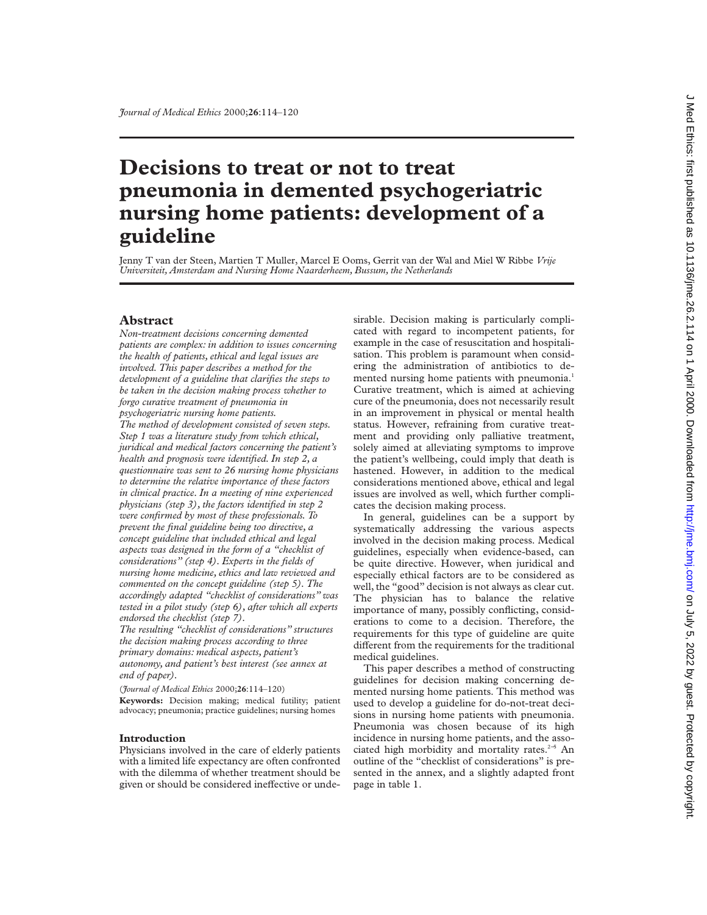# **Decisions to treat or not to treat pneumonia in demented psychogeriatric nursing home patients: development of a guideline**

Jenny T van der Steen, Martien T Muller, Marcel E Ooms, Gerrit van der Wal and Miel W Ribbe *Vrije Universiteit, Amsterdam and Nursing Home Naarderheem, Bussum, the Netherlands*

# **Abstract**

*Non-treatment decisions concerning demented patients are complex: in addition to issues concerning the health of patients, ethical and legal issues are involved. This paper describes a method for the development of a guideline that clarifies the steps to be taken in the decision making process whether to forgo curative treatment of pneumonia in psychogeriatric nursing home patients. The method of development consisted of seven steps. Step 1 was a literature study from which ethical, juridical and medical factors concerning the patient's health and prognosis were identified. In step 2, a questionnaire was sent to 26 nursing home physicians to determine the relative importance of these factors in clinical practice. In a meeting of nine experienced physicians (step 3), the factors identified in step 2 were confirmed by most of these professionals. To prevent the final guideline being too directive, a concept guideline that included ethical and legal aspects was designed in the form of a "checklist of considerations" (step 4). Experts in the fields of nursing home medicine, ethics and law reviewed and commented on the concept guideline (step 5). The accordingly adapted "checklist of considerations" was tested in a pilot study (step 6), after which all experts endorsed the checklist (step 7).*

*The resulting "checklist of considerations" structures the decision making process according to three primary domains: medical aspects, patient's autonomy, and patient's best interest (see annex at end of paper).*

(*Journal of Medical Ethics* 2000;**26**:114–120)

**Keywords:** Decision making; medical futility; patient advocacy; pneumonia; practice guidelines; nursing homes

# **Introduction**

Physicians involved in the care of elderly patients with a limited life expectancy are often confronted with the dilemma of whether treatment should be given or should be considered ineffective or unde-

sirable. Decision making is particularly complicated with regard to incompetent patients, for example in the case of resuscitation and hospitalisation. This problem is paramount when considering the administration of antibiotics to demented nursing home patients with pneumonia.<sup>1</sup> Curative treatment, which is aimed at achieving cure of the pneumonia, does not necessarily result in an improvement in physical or mental health status. However, refraining from curative treatment and providing only palliative treatment, solely aimed at alleviating symptoms to improve the patient's wellbeing, could imply that death is hastened. However, in addition to the medical considerations mentioned above, ethical and legal issues are involved as well, which further complicates the decision making process.

In general, guidelines can be a support by systematically addressing the various aspects involved in the decision making process. Medical guidelines, especially when evidence-based, can be quite directive. However, when juridical and especially ethical factors are to be considered as well, the "good" decision is not always as clear cut. The physician has to balance the relative importance of many, possibly conflicting, considerations to come to a decision. Therefore, the requirements for this type of guideline are quite different from the requirements for the traditional medical guidelines.

This paper describes a method of constructing guidelines for decision making concerning demented nursing home patients. This method was used to develop a guideline for do-not-treat decisions in nursing home patients with pneumonia. Pneumonia was chosen because of its high incidence in nursing home patients, and the associated high morbidity and mortality rates.<sup>2−5</sup> An outline of the "checklist of considerations" is presented in the annex, and a slightly adapted front page in table 1.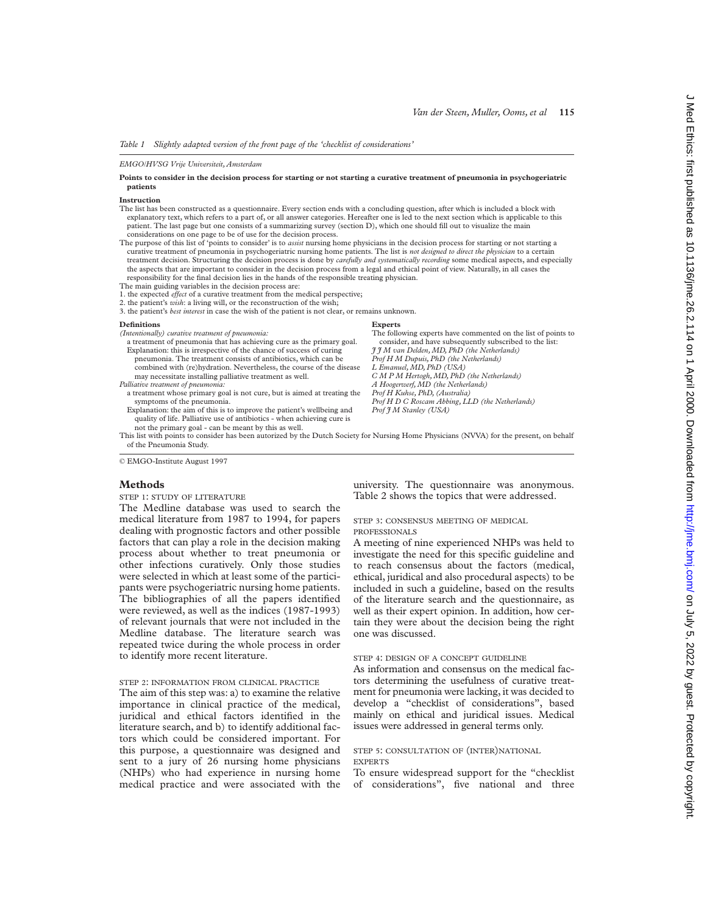*Table 1 Slightly adapted version of the front page of the 'checklist of considerations'*

#### *EMGO/HVSG Vrije Universiteit, Amsterdam*

**Points to consider in the decision process for starting or not starting a curative treatment of pneumonia in psychogeriatric patients**

#### **Instruction**

The list has been constructed as a questionnaire. Every section ends with a concluding question, after which is included a block with explanatory text, which refers to a part of, or all answer categories. Hereafter one is led to the next section which is applicable to this patient. The last page but one consists of a summarizing survey (section D), which one should fill out to visualize the main considerations on one page to be of use for the decision process.

The purpose of this list of 'points to consider' is to *assist* nursing home physicians in the decision process for starting or not starting a curative treatment of pneumonia in psychogeriatric nursing home patients. The list is *not designed to direct the physician* to a certain treatment decision. Structuring the decision process is done by *carefully and systematically recording* some medical aspects, and especially the aspects that are important to consider in the decision process from a legal and ethical point of view. Naturally, in all cases the responsibility for the final decision lies in the hands of the responsible treating physician.

The main guiding variables in the decision process are:

- 1. the expected *effect* of a curative treatment from the medical perspective;
- 2. the patient's *wish*: a living will, or the reconstruction of the wish;
- 3. the patient's *best interest* in case the wish of the patient is not clear, or remains unknown.

#### **Definitions Experts**

*(Intentionally) curative treatment of pneumonia:* The following experts have commented on the list of points to a treatment of pneumonia that has achieving cure as the primary goal. Explanation: this is irrespective of the chance of success of curing pneumonia. The treatment consists of antibiotics, which can be combined with (re)hydration. Nevertheless, the course of the disease may necessitate installing palliative treatment as well.  $Palliative treatment of peneumonia:$ 

- a treatment whose primary goal is not cure, but is aimed at treating the symptoms of the pneumonia.
- Explanation: the aim of this is to improve the patient's wellbeing and quality of life. Palliative use of antibiotics - when achieving cure is not the primary goal - can be meant by this as well.

This list with points to consider has been autorized by the Dutch Society for Nursing Home Physicians (NVVA) for the present, on behalf of the Pneumonia Study.

© EMGO-Institute August 1997

## **Methods**

STEP 1: STUDY OF LITERATURE

The Medline database was used to search the medical literature from 1987 to 1994, for papers dealing with prognostic factors and other possible factors that can play a role in the decision making process about whether to treat pneumonia or other infections curatively. Only those studies were selected in which at least some of the participants were psychogeriatric nursing home patients. The bibliographies of all the papers identified were reviewed, as well as the indices (1987-1993) of relevant journals that were not included in the Medline database. The literature search was repeated twice during the whole process in order to identify more recent literature.

#### STEP 2: INFORMATION FROM CLINICAL PRACTICE

The aim of this step was: a) to examine the relative importance in clinical practice of the medical, juridical and ethical factors identified in the literature search, and b) to identify additional factors which could be considered important. For this purpose, a questionnaire was designed and sent to a jury of 26 nursing home physicians (NHPs) who had experience in nursing home medical practice and were associated with the university. The questionnaire was anonymous. Table 2 shows the topics that were addressed.

#### STEP 3: CONSENSUS MEETING OF MEDICAL PROFESSIONALS

*J J M van Delden, MD, PhD (the Netherlands) Prof H M Dupuis, PhD (the Netherlands) L Emanuel, MD, PhD (USA)*

*C M P M Hertogh, MD, PhD (the Netherlands)*

*Prof H D C Roscam Abbing, LLD (the Netherlands)*

*Prof H Kuhse, PhD, (Australia)*

*Prof J M Stanley (USA)*

A meeting of nine experienced NHPs was held to investigate the need for this specific guideline and to reach consensus about the factors (medical, ethical, juridical and also procedural aspects) to be

included in such a guideline, based on the results of the literature search and the questionnaire, as well as their expert opinion. In addition, how certain they were about the decision being the right one was discussed.

#### STEP 4: DESIGN OF A CONCEPT GUIDELINE

As information and consensus on the medical factors determining the usefulness of curative treatment for pneumonia were lacking, it was decided to develop a "checklist of considerations", based mainly on ethical and juridical issues. Medical issues were addressed in general terms only.

# STEP 5: CONSULTATION OF (INTER)NATIONAL

### EXPERTS

To ensure widespread support for the "checklist of considerations", five national and three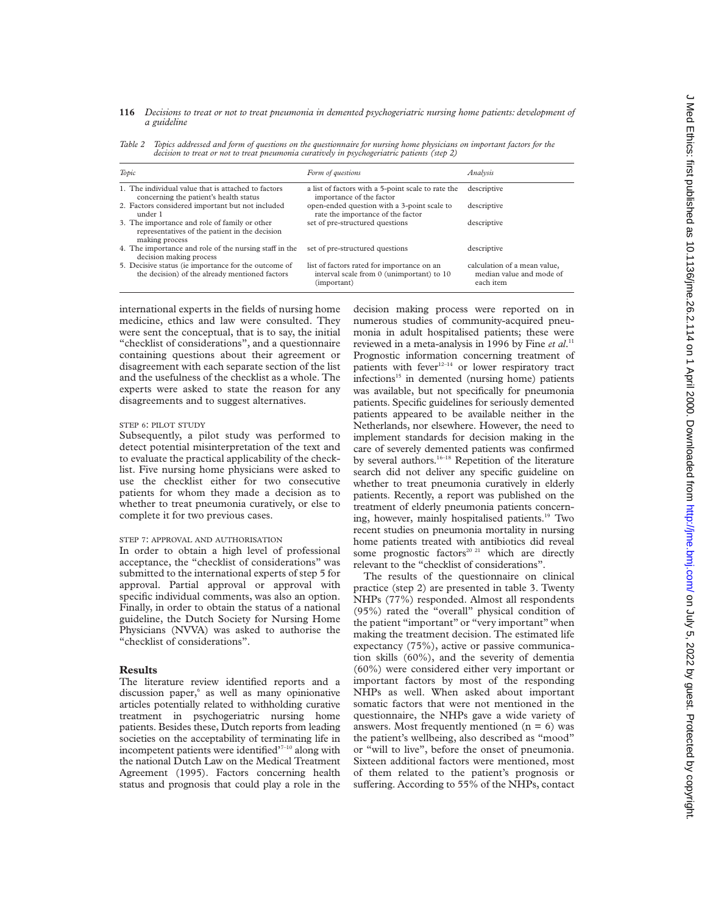#### **116** *Decisions to treat or not to treat pneumonia in demented psychogeriatric nursing home patients: development of a guideline*

*Table 2 Topics addressed and form of questions on the questionnaire for nursing home physicians on important factors for the decision to treat or not to treat pneumonia curatively in psychogeriatric patients (step 2)*

| Topic |                                                                                                                   | Form of questions                                                                                      | Analysis                                                              |  |
|-------|-------------------------------------------------------------------------------------------------------------------|--------------------------------------------------------------------------------------------------------|-----------------------------------------------------------------------|--|
|       | 1. The individual value that is attached to factors<br>concerning the patient's health status                     | a list of factors with a 5-point scale to rate the<br>importance of the factor                         | descriptive                                                           |  |
|       | 2. Factors considered important but not included<br>under 1                                                       | open-ended question with a 3-point scale to<br>rate the importance of the factor                       | descriptive                                                           |  |
|       | 3. The importance and role of family or other<br>representatives of the patient in the decision<br>making process | set of pre-structured questions                                                                        | descriptive                                                           |  |
|       | 4. The importance and role of the nursing staff in the<br>decision making process                                 | set of pre-structured questions                                                                        | descriptive                                                           |  |
|       | 5. Decisive status (ie importance for the outcome of<br>the decision) of the already mentioned factors            | list of factors rated for importance on an<br>interval scale from 0 (unimportant) to 10<br>(important) | calculation of a mean value,<br>median value and mode of<br>each item |  |

international experts in the fields of nursing home medicine, ethics and law were consulted. They were sent the conceptual, that is to say, the initial "checklist of considerations", and a questionnaire containing questions about their agreement or disagreement with each separate section of the list and the usefulness of the checklist as a whole. The experts were asked to state the reason for any disagreements and to suggest alternatives.

# STEP 6: PILOT STUDY

Subsequently, a pilot study was performed to detect potential misinterpretation of the text and to evaluate the practical applicability of the checklist. Five nursing home physicians were asked to use the checklist either for two consecutive patients for whom they made a decision as to whether to treat pneumonia curatively, or else to complete it for two previous cases.

#### STEP 7: APPROVAL AND AUTHORISATION

In order to obtain a high level of professional acceptance, the "checklist of considerations" was submitted to the international experts of step 5 for approval. Partial approval or approval with specific individual comments, was also an option. Finally, in order to obtain the status of a national guideline, the Dutch Society for Nursing Home Physicians (NVVA) was asked to authorise the "checklist of considerations".

## **Results**

The literature review identified reports and a discussion paper, $6$  as well as many opinionative articles potentially related to withholding curative treatment in psychogeriatric nursing home patients. Besides these, Dutch reports from leading societies on the acceptability of terminating life in incompetent patients were identified'7–10 along with the national Dutch Law on the Medical Treatment Agreement (1995). Factors concerning health status and prognosis that could play a role in the decision making process were reported on in numerous studies of community-acquired pneumonia in adult hospitalised patients; these were reviewed in a meta-analysis in 1996 by Fine *et al*. 11 Prognostic information concerning treatment of patients with fever<sup>12-14</sup> or lower respiratory tract infections<sup>15</sup> in demented (nursing home) patients was available, but not specifically for pneumonia patients. Specific guidelines for seriously demented patients appeared to be available neither in the Netherlands, nor elsewhere. However, the need to implement standards for decision making in the care of severely demented patients was confirmed by several authors.<sup>16–18</sup> Repetition of the literature search did not deliver any specific guideline on whether to treat pneumonia curatively in elderly patients. Recently, a report was published on the treatment of elderly pneumonia patients concerning, however, mainly hospitalised patients.<sup>19</sup> Two recent studies on pneumonia mortality in nursing home patients treated with antibiotics did reveal some prognostic factors<sup>20 21</sup> which are directly relevant to the "checklist of considerations".

The results of the questionnaire on clinical practice (step 2) are presented in table 3. Twenty NHPs (77%) responded. Almost all respondents (95%) rated the "overall" physical condition of the patient "important" or "very important" when making the treatment decision. The estimated life expectancy (75%), active or passive communication skills (60%), and the severity of dementia (60%) were considered either very important or important factors by most of the responding NHPs as well. When asked about important somatic factors that were not mentioned in the questionnaire, the NHPs gave a wide variety of answers. Most frequently mentioned  $(n = 6)$  was the patient's wellbeing, also described as "mood" or "will to live", before the onset of pneumonia. Sixteen additional factors were mentioned, most of them related to the patient's prognosis or suffering. According to 55% of the NHPs, contact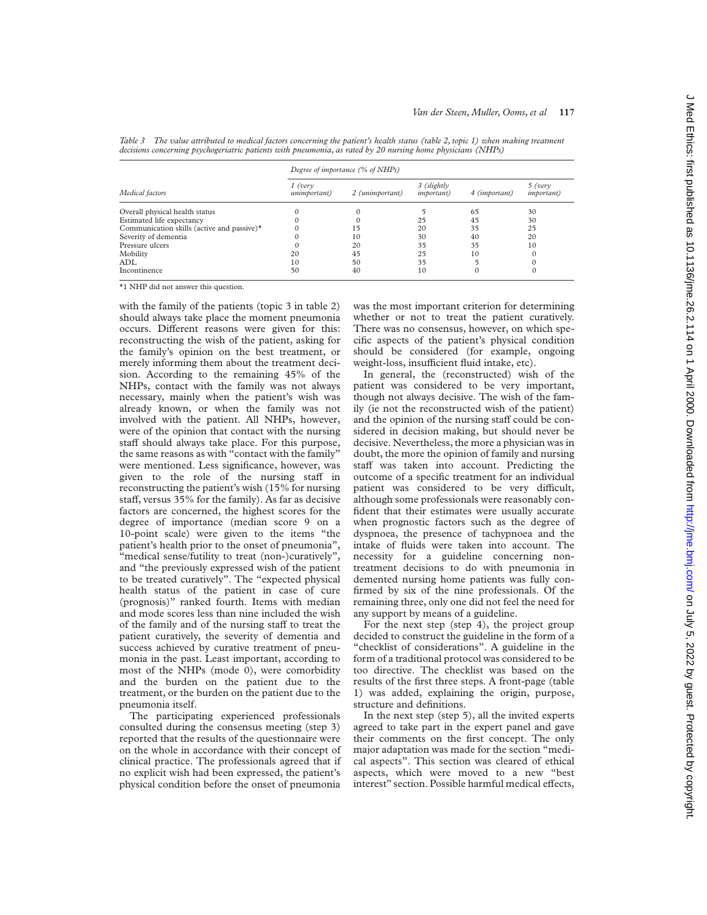|                                            | Degree of importance (% of NHPs) |                 |                                   |                        |                               |  |
|--------------------------------------------|----------------------------------|-----------------|-----------------------------------|------------------------|-------------------------------|--|
| Medical factors                            | $1$ (very<br>unimportant)        | 2 (unimportant) | 3 (slightly<br><i>important</i> ) | 4 ( <i>important</i> ) | 5 (very<br><i>important</i> ) |  |
| Overall physical health status             |                                  |                 |                                   | 65                     | 30                            |  |
| Estimated life expectancy                  |                                  |                 | 25                                | 45                     | 30                            |  |
| Communication skills (active and passive)* |                                  | 15              | 20                                | 35                     | 25                            |  |
| Severity of dementia                       |                                  | 10              | 30                                | 40                     | 20                            |  |
| Pressure ulcers                            |                                  | 20              | 35                                | 35                     | 10                            |  |
| Mobility                                   | 20                               | 45              | 25                                | 10                     |                               |  |
| ADI.                                       | 10                               | 50              | 35                                |                        |                               |  |
| Incontinence                               | 50                               | 40              | 10                                |                        |                               |  |

*Table 3 The value attributed to medical factors concerning the patient's health status (table 2, topic 1) when making treatment decisions concerning psychogeriatric patients with pneumonia, as rated by 20 nursing home physicians (NHPs)*

\*1 NHP did not answer this question.

with the family of the patients (topic 3 in table 2) should always take place the moment pneumonia occurs. Different reasons were given for this: reconstructing the wish of the patient, asking for the family's opinion on the best treatment, or merely informing them about the treatment decision. According to the remaining 45% of the NHPs, contact with the family was not always necessary, mainly when the patient's wish was already known, or when the family was not involved with the patient. All NHPs, however, were of the opinion that contact with the nursing staff should always take place. For this purpose, the same reasons as with "contact with the family" were mentioned. Less significance, however, was given to the role of the nursing staff in reconstructing the patient's wish (15% for nursing staff, versus  $35\%$  for the family). As far as decisive factors are concerned, the highest scores for the degree of importance (median score 9 on a 10-point scale) were given to the items "the patient's health prior to the onset of pneumonia", "medical sense/futility to treat (non-)curatively", and "the previously expressed wish of the patient to be treated curatively". The "expected physical health status of the patient in case of cure (prognosis)" ranked fourth. Items with median and mode scores less than nine included the wish of the family and of the nursing staff to treat the patient curatively, the severity of dementia and success achieved by curative treatment of pneumonia in the past. Least important, according to most of the NHPs (mode 0), were comorbidity and the burden on the patient due to the treatment, or the burden on the patient due to the pneumonia itself.

The participating experienced professionals consulted during the consensus meeting (step 3) reported that the results of the questionnaire were on the whole in accordance with their concept of clinical practice. The professionals agreed that if no explicit wish had been expressed, the patient's physical condition before the onset of pneumonia

was the most important criterion for determining whether or not to treat the patient curatively. There was no consensus, however, on which specific aspects of the patient's physical condition should be considered (for example, ongoing weight-loss, insufficient fluid intake, etc).

In general, the (reconstructed) wish of the patient was considered to be very important, though not always decisive. The wish of the family (ie not the reconstructed wish of the patient) and the opinion of the nursing staff could be considered in decision making, but should never be decisive. Nevertheless, the more a physician was in doubt, the more the opinion of family and nursing staff was taken into account. Predicting the outcome of a specific treatment for an individual patient was considered to be very difficult, although some professionals were reasonably confident that their estimates were usually accurate when prognostic factors such as the degree of dyspnoea, the presence of tachypnoea and the intake of fluids were taken into account. The necessity for a guideline concerning nontreatment decisions to do with pneumonia in demented nursing home patients was fully confirmed by six of the nine professionals. Of the remaining three, only one did not feel the need for any support by means of a guideline.

For the next step (step 4), the project group decided to construct the guideline in the form of a "checklist of considerations". A guideline in the form of a traditional protocol was considered to be too directive. The checklist was based on the results of the first three steps. A front-page (table 1) was added, explaining the origin, purpose, structure and definitions.

In the next step (step 5), all the invited experts agreed to take part in the expert panel and gave their comments on the first concept. The only major adaptation was made for the section "medical aspects". This section was cleared of ethical aspects, which were moved to a new "best interest" section. Possible harmful medical effects,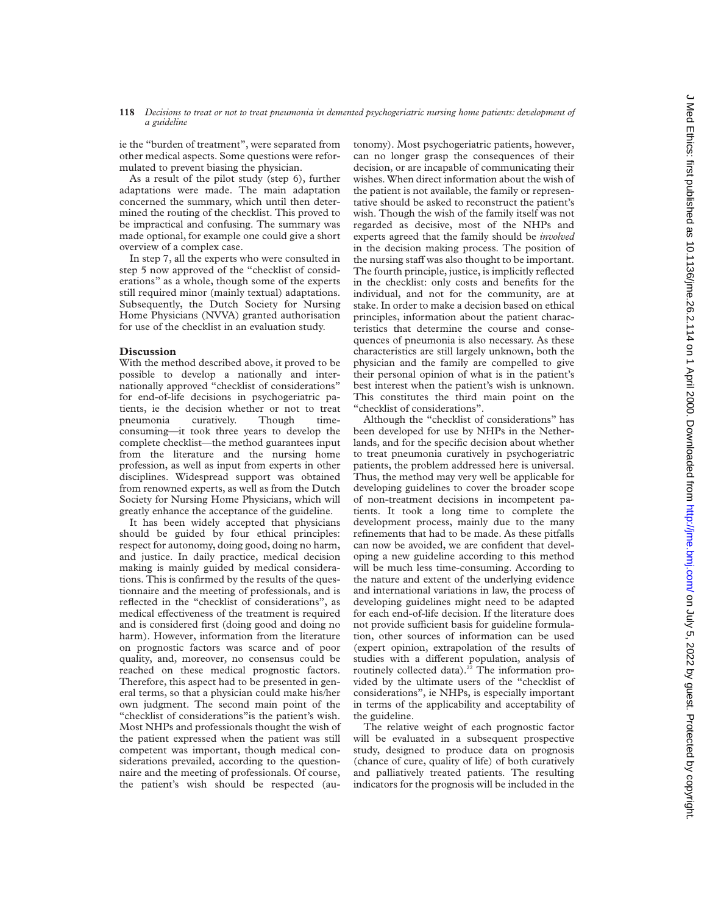## **118** *Decisions to treat or not to treat pneumonia in demented psychogeriatric nursing home patients: development of a guideline*

ie the "burden of treatment", were separated from other medical aspects. Some questions were reformulated to prevent biasing the physician.

As a result of the pilot study (step 6), further adaptations were made. The main adaptation concerned the summary, which until then determined the routing of the checklist. This proved to be impractical and confusing. The summary was made optional, for example one could give a short overview of a complex case.

In step 7, all the experts who were consulted in step 5 now approved of the "checklist of considerations" as a whole, though some of the experts still required minor (mainly textual) adaptations. Subsequently, the Dutch Society for Nursing Home Physicians (NVVA) granted authorisation for use of the checklist in an evaluation study.

# **Discussion**

With the method described above, it proved to be possible to develop a nationally and internationally approved "checklist of considerations" for end-of-life decisions in psychogeriatric patients, ie the decision whether or not to treat pneumonia curatively. Though timeconsuming—it took three years to develop the complete checklist—the method guarantees input from the literature and the nursing home profession, as well as input from experts in other disciplines. Widespread support was obtained from renowned experts, as well as from the Dutch Society for Nursing Home Physicians, which will greatly enhance the acceptance of the guideline.

It has been widely accepted that physicians should be guided by four ethical principles: respect for autonomy, doing good, doing no harm, and justice. In daily practice, medical decision making is mainly guided by medical considerations. This is confirmed by the results of the questionnaire and the meeting of professionals, and is reflected in the "checklist of considerations", as medical effectiveness of the treatment is required and is considered first (doing good and doing no harm). However, information from the literature on prognostic factors was scarce and of poor quality, and, moreover, no consensus could be reached on these medical prognostic factors. Therefore, this aspect had to be presented in general terms, so that a physician could make his/her own judgment. The second main point of the "checklist of considerations"is the patient's wish. Most NHPs and professionals thought the wish of the patient expressed when the patient was still competent was important, though medical considerations prevailed, according to the questionnaire and the meeting of professionals. Of course, the patient's wish should be respected (autonomy). Most psychogeriatric patients, however, can no longer grasp the consequences of their decision, or are incapable of communicating their wishes. When direct information about the wish of the patient is not available, the family or representative should be asked to reconstruct the patient's wish. Though the wish of the family itself was not regarded as decisive, most of the NHPs and experts agreed that the family should be *involved* in the decision making process. The position of the nursing staff was also thought to be important. The fourth principle, justice, is implicitly reflected in the checklist: only costs and benefits for the individual, and not for the community, are at stake. In order to make a decision based on ethical principles, information about the patient characteristics that determine the course and consequences of pneumonia is also necessary. As these characteristics are still largely unknown, both the physician and the family are compelled to give their personal opinion of what is in the patient's best interest when the patient's wish is unknown. This constitutes the third main point on the "checklist of considerations".

Although the "checklist of considerations" has been developed for use by NHPs in the Netherlands, and for the specific decision about whether to treat pneumonia curatively in psychogeriatric patients, the problem addressed here is universal. Thus, the method may very well be applicable for developing guidelines to cover the broader scope of non-treatment decisions in incompetent patients. It took a long time to complete the development process, mainly due to the many refinements that had to be made. As these pitfalls can now be avoided, we are confident that developing a new guideline according to this method will be much less time-consuming. According to the nature and extent of the underlying evidence and international variations in law, the process of developing guidelines might need to be adapted for each end-of-life decision. If the literature does not provide sufficient basis for guideline formulation, other sources of information can be used (expert opinion, extrapolation of the results of studies with a different population, analysis of routinely collected data).<sup>22</sup> The information provided by the ultimate users of the "checklist of considerations", ie NHPs, is especially important in terms of the applicability and acceptability of the guideline.

The relative weight of each prognostic factor will be evaluated in a subsequent prospective study, designed to produce data on prognosis (chance of cure, quality of life) of both curatively and palliatively treated patients. The resulting indicators for the prognosis will be included in the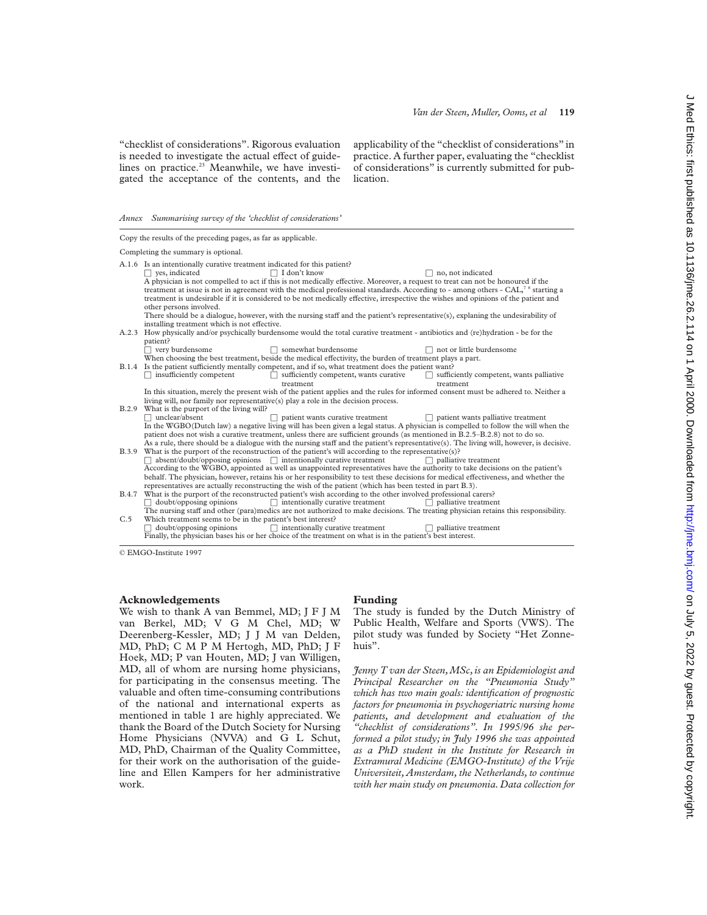"checklist of considerations". Rigorous evaluation is needed to investigate the actual effect of guidelines on practice. $23$  Meanwhile, we have investigated the acceptance of the contents, and the

applicability of the "checklist of considerations" in practice. A further paper, evaluating the "checklist of considerations" is currently submitted for publication.

*Annex Summarising survey of the 'checklist of considerations'*

Copy the results of the preceding pages, as far as applicable.

|       | Copy the results of the preceding pages, as far as applicable.                                                                                                                                                                                                                                                                                                                                                                                                                                                                                                                                                                                                                                                                                                              |  |  |  |  |
|-------|-----------------------------------------------------------------------------------------------------------------------------------------------------------------------------------------------------------------------------------------------------------------------------------------------------------------------------------------------------------------------------------------------------------------------------------------------------------------------------------------------------------------------------------------------------------------------------------------------------------------------------------------------------------------------------------------------------------------------------------------------------------------------------|--|--|--|--|
|       | Completing the summary is optional.                                                                                                                                                                                                                                                                                                                                                                                                                                                                                                                                                                                                                                                                                                                                         |  |  |  |  |
|       | A.1.6 Is an intentionally curative treatment indicated for this patient?<br>$\Box$ yes, indicated<br>$\Box$ I don't know<br>no, not indicated<br>A physician is not compelled to act if this is not medically effective. Moreover, a request to treat can not be honoured if the<br>treatment at issue is not in agreement with the medical professional standards. According to - among others - $CAL178$ starting a<br>treatment is undesirable if it is considered to be not medically effective, irrespective the wishes and opinions of the patient and<br>other persons involved.<br>There should be a dialogue, however, with the nursing staff and the patient's representative(s), explaning the undesirability of<br>installing treatment which is not effective. |  |  |  |  |
| A.2.3 | How physically and/or psychically burdensome would the total curative treatment - antibiotics and (re)hydration - be for the<br>patient?                                                                                                                                                                                                                                                                                                                                                                                                                                                                                                                                                                                                                                    |  |  |  |  |
|       | $\Box$ very burdensome<br>$\Box$ somewhat burdensome<br>$\Box$ not or little burdensome<br>When choosing the best treatment, beside the medical effectivity, the burden of treatment plays a part.<br>B.1.4 Is the patient sufficiently mentally competent, and if so, what treatment does the patient want?                                                                                                                                                                                                                                                                                                                                                                                                                                                                |  |  |  |  |
|       | insufficiently competent<br>sufficiently competent, wants curative<br>sufficiently competent, wants palliative<br>П<br>treatment<br>treatment                                                                                                                                                                                                                                                                                                                                                                                                                                                                                                                                                                                                                               |  |  |  |  |
|       | In this situation, merely the present wish of the patient applies and the rules for informed consent must be adhered to. Neither a<br>living will, nor family nor representative(s) play a role in the decision process.<br>B.2.9 What is the purport of the living will?                                                                                                                                                                                                                                                                                                                                                                                                                                                                                                   |  |  |  |  |
|       | unclear/absent<br>$\Box$ patient wants curative treatment $\Box$ patient wants palliative treatment<br>In the WGBO(Dutch law) a negative living will has been given a legal status. A physician is compelled to follow the will when the<br>patient does not wish a curative treatment, unless there are sufficient grounds (as mentioned in B.2.5–B.2.8) not to do so.<br>As a rule, there should be a dialogue with the nursing staff and the patient's representative(s). The living will, however, is decisive.                                                                                                                                                                                                                                                         |  |  |  |  |
|       | $B.3.9$ What is the purport of the reconstruction of the patient's will according to the representative(s)?<br>$\Box$ absent/doubt/opposing opinions $\Box$ intentionally curative treatment<br>$\Box$ palliative treatment<br>According to the WGBO, appointed as well as unappointed representatives have the authority to take decisions on the patient's<br>behalf. The physician, however, retains his or her responsibility to test these decisions for medical effectiveness, and whether the                                                                                                                                                                                                                                                                        |  |  |  |  |
| B.4.7 | representatives are actually reconstructing the wish of the patient (which has been tested in part B.3).<br>What is the purport of the reconstructed patient's wish according to the other involved professional carers?<br>doubt/opposing opinions<br>$\Box$ intentionally curative treatment<br>$\Box$ palliative treatment                                                                                                                                                                                                                                                                                                                                                                                                                                               |  |  |  |  |
| C.5   | The nursing staff and other (para)medics are not authorized to make decisions. The treating physician retains this responsibility.<br>Which treatment seems to be in the patient's best interest?<br>$\Box$ doubt/opposing opinions<br>$\Box$ intentionally curative treatment<br>$\Box$ palliative treatment<br>Finally, the physician bases his or her choice of the treatment on what is in the patient's best interest.                                                                                                                                                                                                                                                                                                                                                 |  |  |  |  |

© EMGO-Institute 1997

#### **Acknowledgements**

We wish to thank A van Bemmel, MD; J F J M van Berkel, MD; V G M Chel, MD; W Deerenberg-Kessler, MD; J J M van Delden, MD, PhD; C M P M Hertogh, MD, PhD; J F Hoek, MD; P van Houten, MD; J van Willigen, MD, all of whom are nursing home physicians, for participating in the consensus meeting. The valuable and often time-consuming contributions of the national and international experts as mentioned in table 1 are highly appreciated. We thank the Board of the Dutch Society for Nursing Home Physicians (NVVA) and G L Schut, MD, PhD, Chairman of the Quality Committee, for their work on the authorisation of the guideline and Ellen Kampers for her administrative work.

## **Funding**

The study is funded by the Dutch Ministry of Public Health, Welfare and Sports (VWS). The pilot study was funded by Society "Het Zonnehuis".

*Jenny T van der Steen,MSc,is an Epidemiologist and Principal Researcher on the "Pneumonia Study" which has two main goals: identification of prognostic factors for pneumonia in psychogeriatric nursing home patients, and development and evaluation of the "checklist of considerations". In 1995/96 she performed a pilot study; in July 1996 she was appointed as a PhD student in the Institute for Research in Extramural Medicine (EMGO-Institute) of the Vrije Universiteit, Amsterdam, the Netherlands, to continue with her main study on pneumonia.Data collection for*